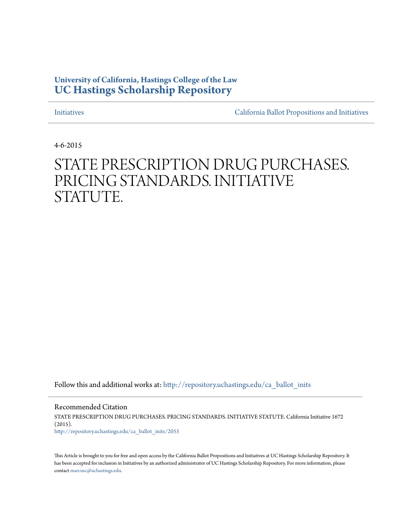# **University of California, Hastings College of the Law [UC Hastings Scholarship Repository](http://repository.uchastings.edu?utm_source=repository.uchastings.edu%2Fca_ballot_inits%2F2055&utm_medium=PDF&utm_campaign=PDFCoverPages)**

[Initiatives](http://repository.uchastings.edu/ca_ballot_inits?utm_source=repository.uchastings.edu%2Fca_ballot_inits%2F2055&utm_medium=PDF&utm_campaign=PDFCoverPages) [California Ballot Propositions and Initiatives](http://repository.uchastings.edu/ca_ballots?utm_source=repository.uchastings.edu%2Fca_ballot_inits%2F2055&utm_medium=PDF&utm_campaign=PDFCoverPages)

4-6-2015

# STATE PRESCRIPTION DRUG PURCHASES. PRICING STANDARDS. INITIATIVE STATUTE.

Follow this and additional works at: [http://repository.uchastings.edu/ca\\_ballot\\_inits](http://repository.uchastings.edu/ca_ballot_inits?utm_source=repository.uchastings.edu%2Fca_ballot_inits%2F2055&utm_medium=PDF&utm_campaign=PDFCoverPages)

Recommended Citation STATE PRESCRIPTION DRUG PURCHASES. PRICING STANDARDS. INITIATIVE STATUTE. California Initiative 1672 (2015). [http://repository.uchastings.edu/ca\\_ballot\\_inits/2055](http://repository.uchastings.edu/ca_ballot_inits/2055?utm_source=repository.uchastings.edu%2Fca_ballot_inits%2F2055&utm_medium=PDF&utm_campaign=PDFCoverPages)

This Article is brought to you for free and open access by the California Ballot Propositions and Initiatives at UC Hastings Scholarship Repository. It has been accepted for inclusion in Initiatives by an authorized administrator of UC Hastings Scholarship Repository. For more information, please contact [marcusc@uchastings.edu](mailto:marcusc@uchastings.edu).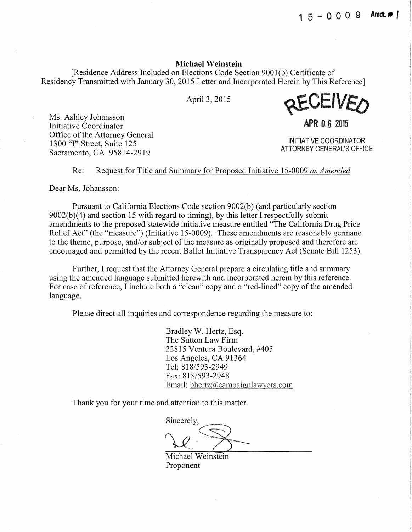**1 5** - o o o 9 **Arndt.#** I

#### Michael Weinstein

[Residence Address Included on Elections Code Section 9001 (b) Certificate of Residency Transmitted with January 30, 2015 Letter and Incorporated Herein by This Reference]

Apri13, 2015



**APR 0** 6 2015

INITIATIVE COORDINATOR ATIORNEY GENERAL'S OFFICE

Ms. Ashley Johansson Initiative Coordinator Office of the Attorney General 1300 "I" Street, Suite 125 Sacramento, CA 95814-2919

# Re: Request for Title and Summary for Proposed Initiative 15-0009 *as Amended*

Dear Ms. Johansson:

Pursuant to California Elections Code section 9002(b) (and particularly section  $9002(b)(4)$  and section 15 with regard to timing), by this letter I respectfully submit amendments to the proposed statewide initiative measure entitled "The California Drug Price Relief Act" (the "measure") (Initiative 15-0009). These amendments are reasonably germane to the theme, purpose, and/or subject of the measure as originally proposed and therefore are encouraged and permitted by the recent Ballot Initiative Transparency Act (Senate Bill 1253).

Further, I request that the Attorney General prepare a circulating title and summary using the amended language submitted herewith and incorporated herein by this reference. For ease of reference, I include both a "clean" copy and a "red-lined" copy of the amended language.

Please direct all inquiries and correspondence regarding the measure to:

Bradley W. Hertz, Esq. The Sutton Law Firm 22815 Ventura Boulevard, #405 Los Angeles, CA 91364 Tel: 818/593-2949 Fax: 818/593-2948 Email: bhertz@campaignlawyers.com

Thank you for your time and attention to this matter.

 $\overbrace{\bigcirc}$ 

Michael Weinstein Proponent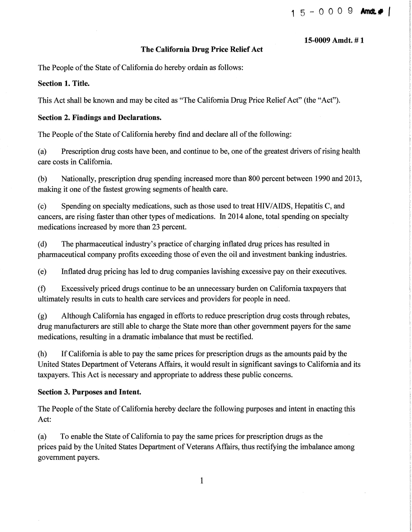#### **15-0009 Amdt. # 1**

# **The California Drug Price Relief Act**

The People of the State of California do hereby ordain as follows:

# **Section 1. Title.**

This Act shall be known and may be cited as "The California Drug Price Relief Act" (the "Act").

# **Section 2. Findings and Declarations.**

The People of the State of California hereby find and declare all of the following:

(a) Prescription drug costs have been, and continue to be, one of the greatest drivers of rising health care costs in California.

(b) Nationally, prescription drug spending increased more than 800 percent between 1990 and 2013, making it one of the fastest growing segments of health care.

(c) Spending on specialty medications, such as those used to treat HIV/AIDS, Hepatitis C, and cancers, are rising faster than other types of medications. In 2014 alone, total spending on specialty medications increased by more than 23 percent.

(d) The pharmaceutical industry's practice of charging inflated drug prices has resulted in pharmaceutical company profits exceeding those of even the oil and investment banking industries.

(e) Inflated drug pricing has led to drug companies lavishing excessive pay on their executives.

(f) Excessively priced drugs continue to be an unnecessary burden on California taxpayers that ultimately results in cuts to health care services and providers for people in need.

(g) Although California has engaged in efforts to reduce prescription drug costs through rebates, drug manufacturers are still able to charge the State more than other government payers for the same medications, resulting in a dramatic imbalance that must be rectified.

(h) If California is able to pay the same prices for prescription drugs as the amounts paid by the United States Department of Veterans Affairs, it would result in significant savings to California and its taxpayers. This Act is necessary and appropriate to address these public concerns.

# **Section 3. Purposes and Intent.**

The People of the State of California hereby declare the following purposes and intent in enacting this Act:

(a) To enable the State of California to pay the same prices for prescription drugs as the prices paid by the United States Department of Veterans Affairs, thus rectifying the imbalance among government payers.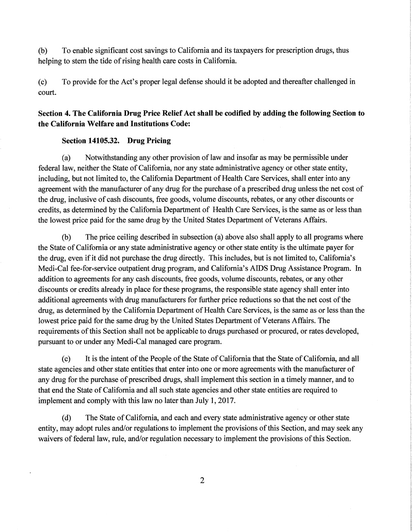(b) To enable significant cost savings to California and its taxpayers for prescription drugs, thus helping to stem the tide of rising health care costs in California.

(c) To provide for the Act's proper legal defense should it be adopted and thereafter challenged in court.

# **Section 4. The California Drug Price Relief Act shall be codified by adding the following Section to the California Welfare and Institutions Code:**

#### **Section 14105.32. Drug Pricing**

(a) Notwithstanding any other provision of law and insofar as may be permissible under federal law, neither the State of California, nor any state administrative agency or other state entity, including, but not limited to, the California Department of Health Care Services, shall enter into any agreement with the manufacturer of any drug for the purchase of a prescribed drug unless the net cost of the drug, inclusive of cash discounts, free goods, volume discounts, rebates, or any other discounts or credits, as determined by the California Department of Health Care Services, is the same as or less than the lowest price paid for the same drug by the United States Department of Veterans Affairs.

(b) The price ceiling described in subsection (a) above also shall apply to all programs where the State of California or any state administrative agency or other state entity is the ultimate payer for the drug, even if it did not purchase the drug directly. This includes, but is not limited to, California's Medi-Cal fee-for-service outpatient drug program, and California's AIDS Drug Assistance Program. In addition to agreements for any cash discounts, free goods, volume discounts, rebates, or any other discounts or credits already in place for these programs, the responsible state agency shall enter into additional agreements with drug manufacturers for further price reductions so that the net cost of the drug, as determined by the California Department of Health Care Services, is the same as or less than the lowest price paid for the same drug by the United States Department of Veterans Affairs. The requirements of this Section shall not be applicable to drugs purchased or procured, or rates developed, pursuant to or under any Medi-Cal managed care program.

(c) It is the intent of the People of the State of California that the State of California, and all state agencies and other state entities that enter into one or more agreements with the manufacturer of any drug for the purchase of prescribed drugs, shall implement this section in a timely manner, and to that end the State of California and all such state agencies and other state entities are required to implement and comply with this law no later than July 1, 2017.

(d) The State of California, and each and every state administrative agency or other state entity, may adopt rules and/or regulations to implement the provisions of this Section, and may seek any waivers of federal law, rule, and/or regulation necessary to implement the provisions of this Section.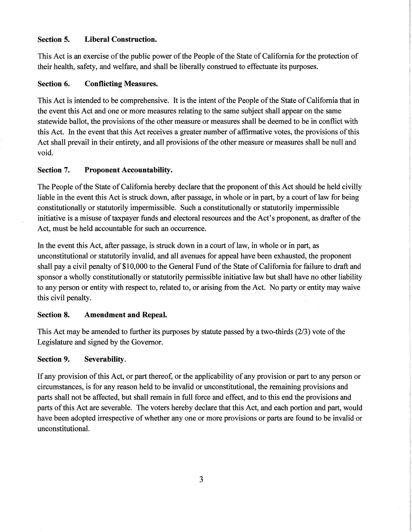# **Section 5. Liberal Construction.**

This Act is an exercise of the public power of the People of the State of California for the protection of their health, safety, and welfare, and shall be liberally construed to effectuate its purposes.

# **Section 6. Conflicting Measures.**

This Act is intended to be comprehensive. It is the intent of the People of the State of California that in the event this Act and one or more measures relating to the same subject shall appear on the same statewide ballot, the provisions of the other measure or measures shall be deemed to be in conflict with this Act. In the event that this Act receives a greater number of affirmative votes, the provisions of this Act shall prevail in their entirety, and all provisions of the other measure or measures shall be null and void.

# **Section 7. Proponent Accountability.**

The People of the State of California hereby declare that the proponent of this Act should be held civilly liable in the event this Act is struck down, after passage, in whole or in part, by a court of law for being constitutionally or statutorily impermissible. Such a constitutionally or statutorily impermissible initiative is a misuse of taxpayer funds and electoral resources and the Act's proponent, as drafter of the Act, must be held accountable for such an occurrence.

In the event this Act, after passage, is struck down in a court of law, in whole or in part, as unconstitutional or statutorily invalid, and all avenues for appeal have been exhausted, the proponent shall pay a civil penalty of \$10,000 to the General Fund of the State of California for failure to draft and sponsor a wholly constitutionally or statutorily permissible initiative law but shall have no other liability to any person or entity with respect to, related to, or arising from the Act. No party or entity may waive this civil penalty.

#### **Section 8. Amendment and Repeal.**

This Act may be amended to further its purposes by statute passed by a two-thirds (2/3) vote of the Legislature and signed by the Governor.

#### **Section 9. Severability.**

If any provision ofthis Act, or part thereof, or the applicability of any provision or part to any person or circumstances, is for any reason held to be invalid or unconstitutional, the remaining provisions and parts shall not be affected, but shall remain in full force and effect, and to this end the provisions and parts of this Act are severable. The voters hereby declare that this Act, and each portion and part, would have been adopted irrespective of whether any one or more provisions or parts are found to be invalid or unconstitutional.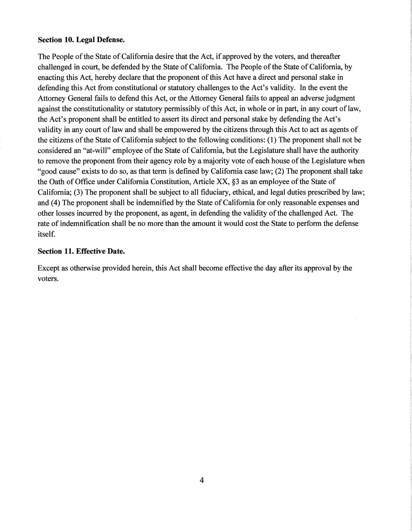#### **Section 10. Legal Defense.**

The People of the State of California desire that the Act, if approved by the voters, and thereafter challenged in court, be defended by the State of California. The People of the State of California, by enacting this Act, hereby declare that the proponent of this Act have a direct and personal stake in defending this Act from constitutional or statutory challenges to the Act's validity. In the event the Attorney General fails to defend this Act, or the Attorney General fails to appeal an adverse judgment against the constitutionality or statutory permissibly of this Act, in whole or in part, in any court of law, the Act's proponent shall be entitled to assert its direct and personal stake by defending the Act's validity in any court of law and shall be empowered by the citizens through this Act to act as agents of the citizens of the State of California subject to the following conditions: (1) The proponent shall not be considered an "at-will" employee of the State of California, but the Legislature shall have the authority to remove the proponent from their agency role by a majority vote of each house of the Legislature when "good cause" exists to do so, as that term is defined by California case law; (2) The proponent shall take the Oath of Office under California Constitution, Article XX, §3 as an employee of the State of California; (3) The proponent shall be subject to all fiduciary, ethical, and legal duties prescribed by law; and (4) The proponent shall be indemnified by the State of California for only reasonable expenses and other losses incurred by the proponent, as agent, in defending the validity of the challenged Act. The rate of indemnification shall be no more than the amount it would cost the State to perform the defense itself.

#### **Section 11. Effective Date.**

Except as otherwise provided herein, this Act shall become effective the day after its approval by the voters.